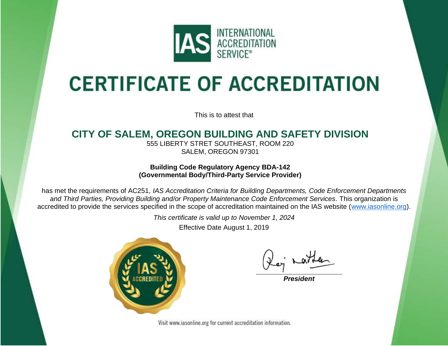

# **CERTIFICATE OF ACCREDITATION**

This is to attest that

### **CITY OF SALEM, OREGON BUILDING AND SAFETY DIVISION**

555 LIBERTY STRET SOUTHEAST, ROOM 220 SALEM, OREGON 97301

### **Building Code Regulatory Agency BDA-142 (Governmental Body/Third-Party Service Provider)**

has met the requirements of AC251, *IAS Accreditation Criteria for Building Departments, Code Enforcement Departments and Third Parties, Providing Building and/or Property Maintenance Code Enforcement Services.* This organization is accredited to provide the services specified in the scope of accreditation maintained on the IAS website [\(www.iasonline.org\)](http://www.iasonline.org/).

*This certificate is valid up to November 1, 2024*

Effective Date August 1, 2019



*President*

Visit www.iasonline.org for current accreditation information.